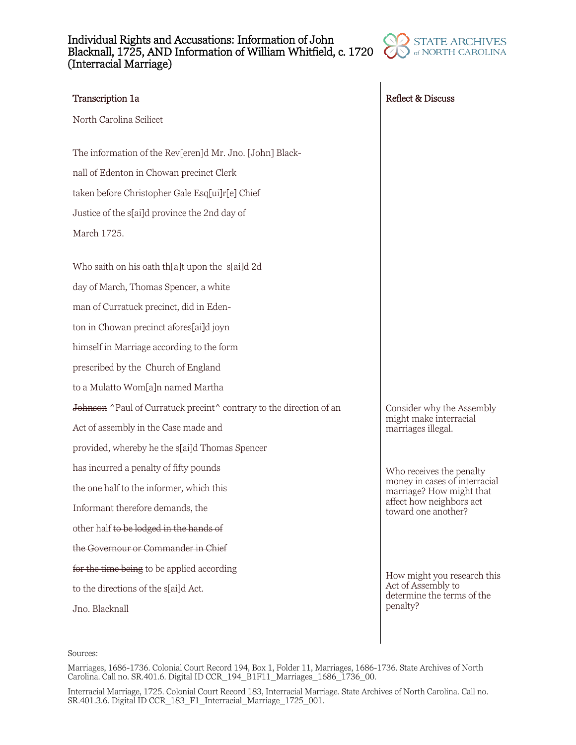## Individual Rights and Accusations: Information of John Blacknall, 1725, AND Information of William Whitfield, c. 1720 (Interracial Marriage)



North Carolina Scilicet

The information of the Rev[eren]d Mr. Jno. [John] Blacknall of Edenton in Chowan precinct Clerk taken before Christopher Gale Esq[ui]r[e] Chief Justice of the s[ai]d province the 2nd day of March 1725.

Who saith on his oath th[a]t upon the s[ai]d 2d day of March, Thomas Spencer, a white man of Curratuck precinct, did in Edenton in Chowan precinct afores[ai]d joyn himself in Marriage according to the form prescribed by the Church of England to a Mulatto Wom[a]n named Martha Johnson ^Paul of Curratuck precint^ contrary to the direction of an Act of assembly in the Case made and provided, whereby he the s[ai]d Thomas Spencer has incurred a penalty of fifty pounds the one half to the informer, which this Informant therefore demands, the other half to be lodged in the hands of the Governour or Commander in Chief for the time being to be applied according to the directions of the s[ai]d Act. Jno. Blacknall

Transcription 1a **Reflect & Discuss Reflect & Discuss** 

Consider why the Assembly might make interracial marriages illegal.

Who receives the penalty money in cases of interracial marriage? How might that affect how neighbors act toward one another?

How might you research this Act of Assembly to determine the terms of the penalty?

### Sources:

Marriages, 1686-1736. Colonial Court Record 194, Box 1, Folder 11, Marriages, 1686-1736. State Archives of North Carolina. Call no. SR.401.6. Digital ID CCR\_194\_B1F11\_Marriages\_1686\_1736\_00.

Interracial Marriage, 1725. Colonial Court Record 183, Interracial Marriage. State Archives of North Carolina. Call no. SR.401.3.6. Digital ID CCR\_183\_F1\_Interracial\_Marriage\_1725\_001.